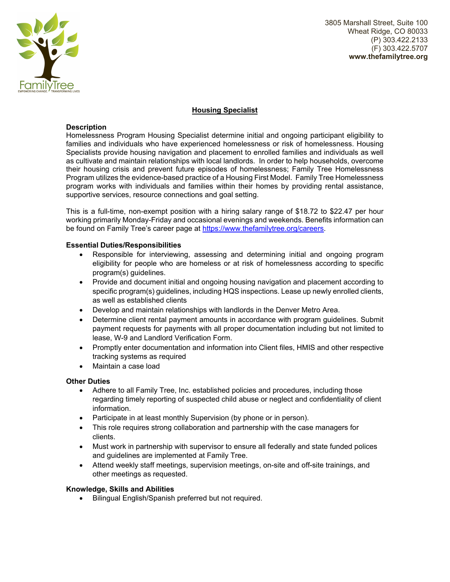

3805 Marshall Street, Suite 100 Wheat Ridge, CO 80033 (P) 303.422.2133 (F) 303.422.5707 **www.thefamilytree.org** 

# **Housing Specialist**

## **Description**

Homelessness Program Housing Specialist determine initial and ongoing participant eligibility to families and individuals who have experienced homelessness or risk of homelessness. Housing Specialists provide housing navigation and placement to enrolled families and individuals as well as cultivate and maintain relationships with local landlords. In order to help households, overcome their housing crisis and prevent future episodes of homelessness; Family Tree Homelessness Program utilizes the evidence-based practice of a Housing First Model. Family Tree Homelessness program works with individuals and families within their homes by providing rental assistance, supportive services, resource connections and goal setting.

This is a full-time, non-exempt position with a hiring salary range of \$18.72 to \$22.47 per hour working primarily Monday-Friday and occasional evenings and weekends. Benefits information can be found on Family Tree's career page at https://www.thefamilytree.org/careers.

## **Essential Duties/Responsibilities**

- Responsible for interviewing, assessing and determining initial and ongoing program eligibility for people who are homeless or at risk of homelessness according to specific program(s) guidelines.
- Provide and document initial and ongoing housing navigation and placement according to specific program(s) guidelines, including HQS inspections. Lease up newly enrolled clients, as well as established clients
- Develop and maintain relationships with landlords in the Denver Metro Area.
- Determine client rental payment amounts in accordance with program guidelines. Submit payment requests for payments with all proper documentation including but not limited to lease, W-9 and Landlord Verification Form.
- Promptly enter documentation and information into Client files, HMIS and other respective tracking systems as required
- Maintain a case load

## **Other Duties**

- Adhere to all Family Tree, Inc. established policies and procedures, including those regarding timely reporting of suspected child abuse or neglect and confidentiality of client information.
- Participate in at least monthly Supervision (by phone or in person).
- This role requires strong collaboration and partnership with the case managers for clients.
- Must work in partnership with supervisor to ensure all federally and state funded polices and guidelines are implemented at Family Tree.
- Attend weekly staff meetings, supervision meetings, on-site and off-site trainings, and other meetings as requested.

## **Knowledge, Skills and Abilities**

Bilingual English/Spanish preferred but not required.